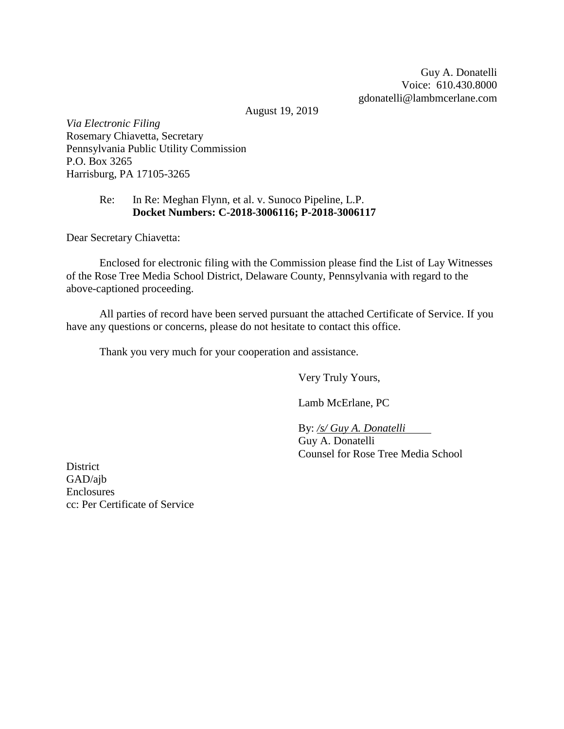Guy A. Donatelli Voice: 610.430.8000 gdonatelli@lambmcerlane.com

August 19, 2019

*Via Electronic Filing* Rosemary Chiavetta, Secretary Pennsylvania Public Utility Commission P.O. Box 3265 Harrisburg, PA 17105-3265

# Re: In Re: Meghan Flynn, et al. v. Sunoco Pipeline, L.P. **Docket Numbers: C-2018-3006116; P-2018-3006117**

Dear Secretary Chiavetta:

Enclosed for electronic filing with the Commission please find the List of Lay Witnesses of the Rose Tree Media School District, Delaware County, Pennsylvania with regard to the above-captioned proceeding.

All parties of record have been served pursuant the attached Certificate of Service. If you have any questions or concerns, please do not hesitate to contact this office.

Thank you very much for your cooperation and assistance.

Very Truly Yours,

Lamb McErlane, PC

By: */s/ Guy A. Donatelli*

Guy A. Donatelli Counsel for Rose Tree Media School

District GAD/ajb Enclosures cc: Per Certificate of Service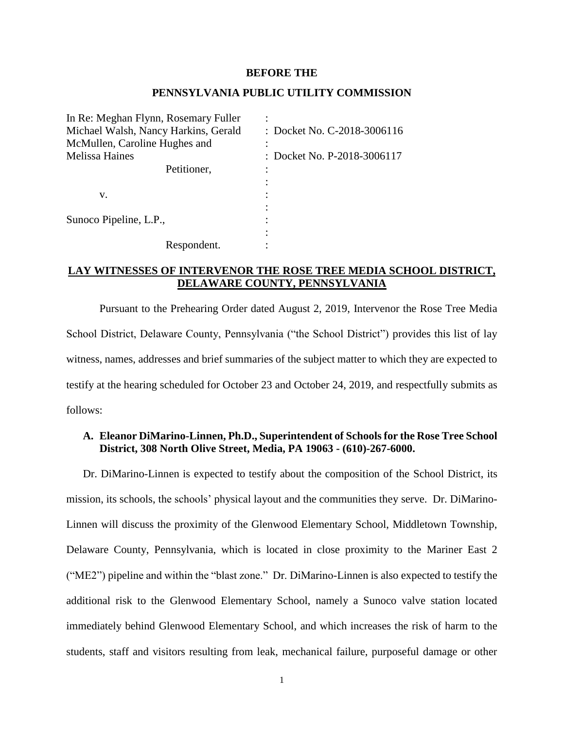#### **BEFORE THE**

#### **PENNSYLVANIA PUBLIC UTILITY COMMISSION**

In Re: Meghan Flynn, Rosemary Fuller : Michael Walsh, Nancy Harkins, Gerald : Docket No. C-2018-3006116 McMullen, Caroline Hughes and : Melissa Haines : Docket No. P-2018-3006117 Petitioner. :  $\mathbf{v}$ .  $\vdots$ : Sunoco Pipeline, L.P., : : Respondent.

# **LAY WITNESSES OF INTERVENOR THE ROSE TREE MEDIA SCHOOL DISTRICT, DELAWARE COUNTY, PENNSYLVANIA**

Pursuant to the Prehearing Order dated August 2, 2019, Intervenor the Rose Tree Media School District, Delaware County, Pennsylvania ("the School District") provides this list of lay witness, names, addresses and brief summaries of the subject matter to which they are expected to testify at the hearing scheduled for October 23 and October 24, 2019, and respectfully submits as follows:

# **A. Eleanor DiMarino-Linnen, Ph.D., Superintendent of Schools for the Rose Tree School District, 308 North Olive Street, Media, PA 19063 - (610)-267-6000.**

Dr. DiMarino-Linnen is expected to testify about the composition of the School District, its mission, its schools, the schools' physical layout and the communities they serve. Dr. DiMarino-Linnen will discuss the proximity of the Glenwood Elementary School, Middletown Township, Delaware County, Pennsylvania, which is located in close proximity to the Mariner East 2 ("ME2") pipeline and within the "blast zone." Dr. DiMarino-Linnen is also expected to testify the additional risk to the Glenwood Elementary School, namely a Sunoco valve station located immediately behind Glenwood Elementary School, and which increases the risk of harm to the students, staff and visitors resulting from leak, mechanical failure, purposeful damage or other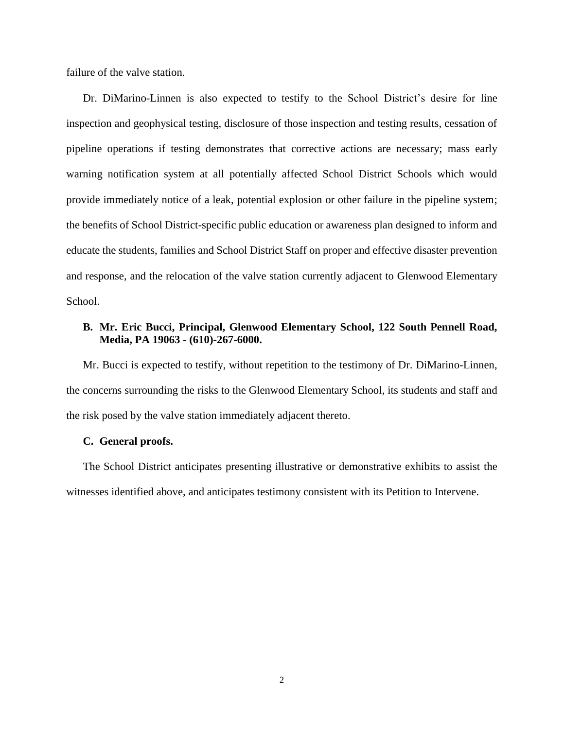failure of the valve station.

Dr. DiMarino-Linnen is also expected to testify to the School District's desire for line inspection and geophysical testing, disclosure of those inspection and testing results, cessation of pipeline operations if testing demonstrates that corrective actions are necessary; mass early warning notification system at all potentially affected School District Schools which would provide immediately notice of a leak, potential explosion or other failure in the pipeline system; the benefits of School District-specific public education or awareness plan designed to inform and educate the students, families and School District Staff on proper and effective disaster prevention and response, and the relocation of the valve station currently adjacent to Glenwood Elementary School.

# **B. Mr. Eric Bucci, Principal, Glenwood Elementary School, 122 South Pennell Road, Media, PA 19063 - (610)-267-6000.**

Mr. Bucci is expected to testify, without repetition to the testimony of Dr. DiMarino-Linnen, the concerns surrounding the risks to the Glenwood Elementary School, its students and staff and the risk posed by the valve station immediately adjacent thereto.

### **C. General proofs.**

The School District anticipates presenting illustrative or demonstrative exhibits to assist the witnesses identified above, and anticipates testimony consistent with its Petition to Intervene.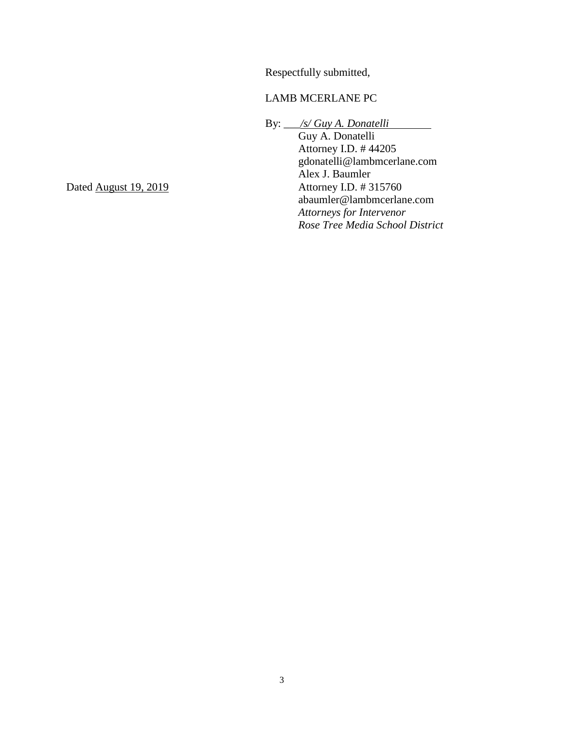Respectfully submitted,

# LAMB MCERLANE PC

By: \_\_\_*/s/ Guy A. Donatelli*

Guy A. Donatelli Attorney I.D. # 44205 gdonatelli@lambmcerlane.com Alex J. Baumler<br>Attorney I.D. # 315760 abaumler@lambmcerlane.com *Attorneys for Intervenor Rose Tree Media School District*

Dated August 19, 2019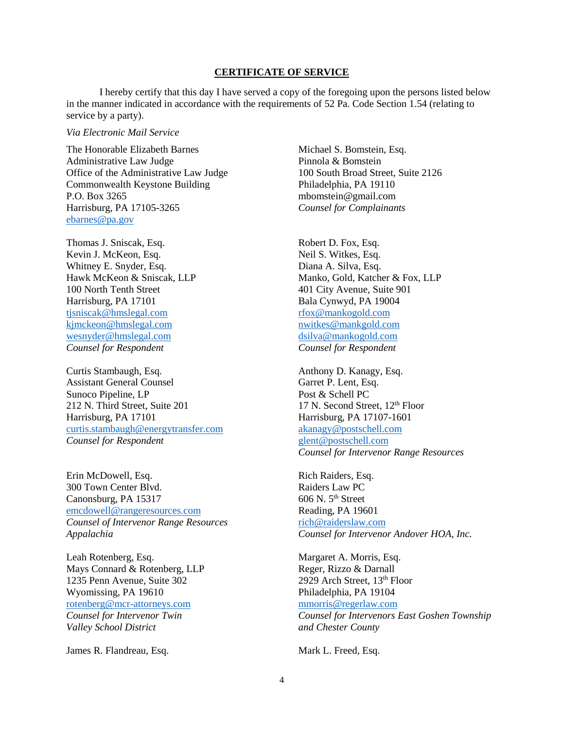#### **CERTIFICATE OF SERVICE**

I hereby certify that this day I have served a copy of the foregoing upon the persons listed below in the manner indicated in accordance with the requirements of 52 Pa. Code Section 1.54 (relating to service by a party).

#### *Via Electronic Mail Service*

The Honorable Elizabeth Barnes Michael S. Bomstein, Esq. Administrative Law Judge<br>
Office of the Administrative Law Judge<br>
100 South Broad Street, Suite 2126 Office of the Administrative Law Judge Commonwealth Keystone Building Philadelphia, PA 19110 P.O. Box 3265 mbomstein@gmail.com Harrisburg, PA 17105-3265 *Counsel for Complainants* [ebarnes@pa.gov](mailto:ebarnes@pa.gov)

Thomas J. Sniscak, Esq. Robert D. Fox, Esq. Kevin J. McKeon, Esq. Neil S. Witkes, Esq. Whitney E. Snyder, Esq. Diana A. Silva, Esq. 100 North Tenth Street 401 City Avenue, Suite 901 Harrisburg, PA 17101 Bala Cynwyd, PA 19004 [tjsniscak@hmslegal.com](mailto:tjsniscak@hmslegal.com) [rfox@mankogold.com](mailto:rfox@mankogold.com) [kjmckeon@hmslegal.com](mailto:kjmckeon@hmslegal.com) [nwitkes@mankgold.com](mailto:nwitkes@mankgold.com) [wesnyder@hmslegal.com](mailto:wesnyder@hmslegal.com) [dsilva@mankogold.com](mailto:dsilva@mankogold.com) *Counsel for Respondent Counsel for Respondent*

Curtis Stambaugh, Esq. Anthony D. Kanagy, Esq. Assistant General Counsel Garret P. Lent, Esq. Sunoco Pipeline, LP Post & Schell PC 212 N. Third Street, Suite 201 17 N. Second Street, 12<sup>th</sup> Floor Harrisburg, PA 17101 Harrisburg, PA 17107-1601 [curtis.stambaugh@energytransfer.com](mailto:curtis.stambaugh@energytransfer.com) [akanagy@postschell.com](mailto:akanagy@postschell.com) *Counsel for Respondent* glent @postschell.com

Erin McDowell, Esq. **Rich Raiders**, Esq. 300 Town Center Blvd. Raiders Law PC Canonsburg, PA 15317 606 N. 5<sup>th</sup> Street [emcdowell@rangeresources.com](mailto:emcdowell@rangeresources.com) Reading, PA 19601 *Counsel of Intervenor Range Resources* [rich@raiderslaw.com](mailto:rich@raiderslaw.com)

Leah Rotenberg, Esq. Margaret A. Morris, Esq. Mays Connard & Rotenberg, LLP Reger, Rizzo & Darnall 1235 Penn Avenue, Suite 302 2929 Arch Street, 13<sup>th</sup> Floor Wyomissing, PA 19610 Philadelphia, PA 19104 [rotenberg@mcr-attorneys.com](mailto:rotenberg@mcr-attorneys.com) [mmorris@regerlaw.com](mailto:mmorris@regerlaw.com) *Valley School District and Chester County*

James R. Flandreau, Esq. Mark L. Freed, Esq.

Hawk McKeon & Sniscak, LLP Manko, Gold, Katcher & Fox, LLP

*Counsel for Intervenor Range Resources*

*Appalachia Counsel for Intervenor Andover HOA, Inc.*

*Counsel for Intervenor Twin Counsel for Intervenors East Goshen Township*